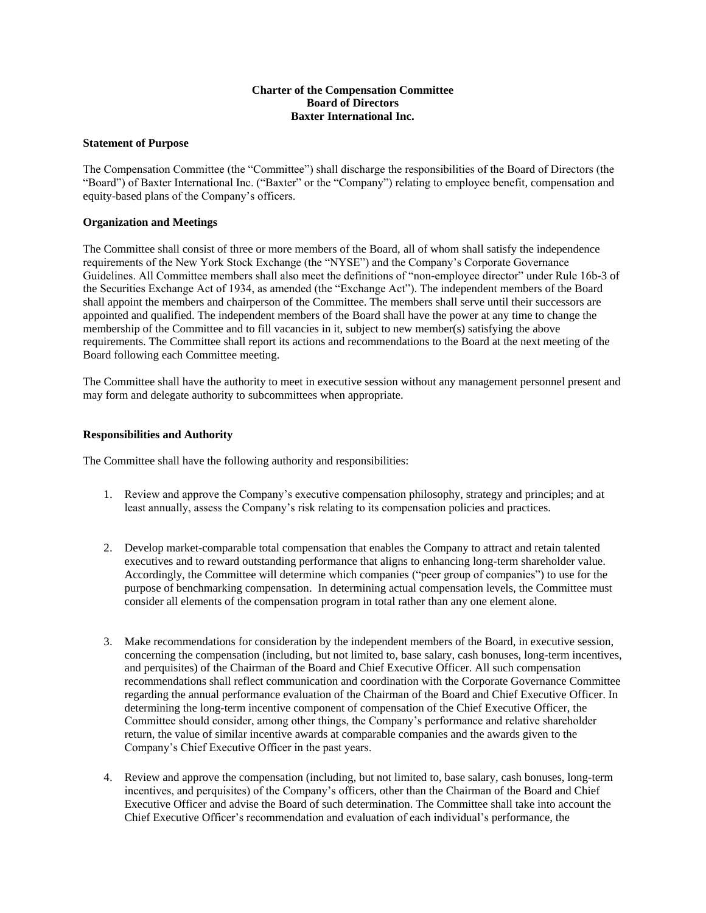# **Charter of the Compensation Committee Board of Directors Baxter International Inc.**

### **Statement of Purpose**

The Compensation Committee (the "Committee") shall discharge the responsibilities of the Board of Directors (the "Board") of Baxter International Inc. ("Baxter" or the "Company") relating to employee benefit, compensation and equity-based plans of the Company's officers.

## **Organization and Meetings**

The Committee shall consist of three or more members of the Board, all of whom shall satisfy the independence requirements of the New York Stock Exchange (the "NYSE") and the Company's Corporate Governance Guidelines. All Committee members shall also meet the definitions of "non-employee director" under Rule 16b-3 of the Securities Exchange Act of 1934, as amended (the "Exchange Act"). The independent members of the Board shall appoint the members and chairperson of the Committee. The members shall serve until their successors are appointed and qualified. The independent members of the Board shall have the power at any time to change the membership of the Committee and to fill vacancies in it, subject to new member(s) satisfying the above requirements. The Committee shall report its actions and recommendations to the Board at the next meeting of the Board following each Committee meeting.

The Committee shall have the authority to meet in executive session without any management personnel present and may form and delegate authority to subcommittees when appropriate.

## **Responsibilities and Authority**

The Committee shall have the following authority and responsibilities:

- 1. Review and approve the Company's executive compensation philosophy, strategy and principles; and at least annually, assess the Company's risk relating to its compensation policies and practices.
- 2. Develop market-comparable total compensation that enables the Company to attract and retain talented executives and to reward outstanding performance that aligns to enhancing long-term shareholder value. Accordingly, the Committee will determine which companies ("peer group of companies") to use for the purpose of benchmarking compensation. In determining actual compensation levels, the Committee must consider all elements of the compensation program in total rather than any one element alone.
- 3. Make recommendations for consideration by the independent members of the Board, in executive session, concerning the compensation (including, but not limited to, base salary, cash bonuses, long-term incentives, and perquisites) of the Chairman of the Board and Chief Executive Officer. All such compensation recommendations shall reflect communication and coordination with the Corporate Governance Committee regarding the annual performance evaluation of the Chairman of the Board and Chief Executive Officer. In determining the long-term incentive component of compensation of the Chief Executive Officer, the Committee should consider, among other things, the Company's performance and relative shareholder return, the value of similar incentive awards at comparable companies and the awards given to the Company's Chief Executive Officer in the past years.
- 4. Review and approve the compensation (including, but not limited to, base salary, cash bonuses, long-term incentives, and perquisites) of the Company's officers, other than the Chairman of the Board and Chief Executive Officer and advise the Board of such determination. The Committee shall take into account the Chief Executive Officer's recommendation and evaluation of each individual's performance, the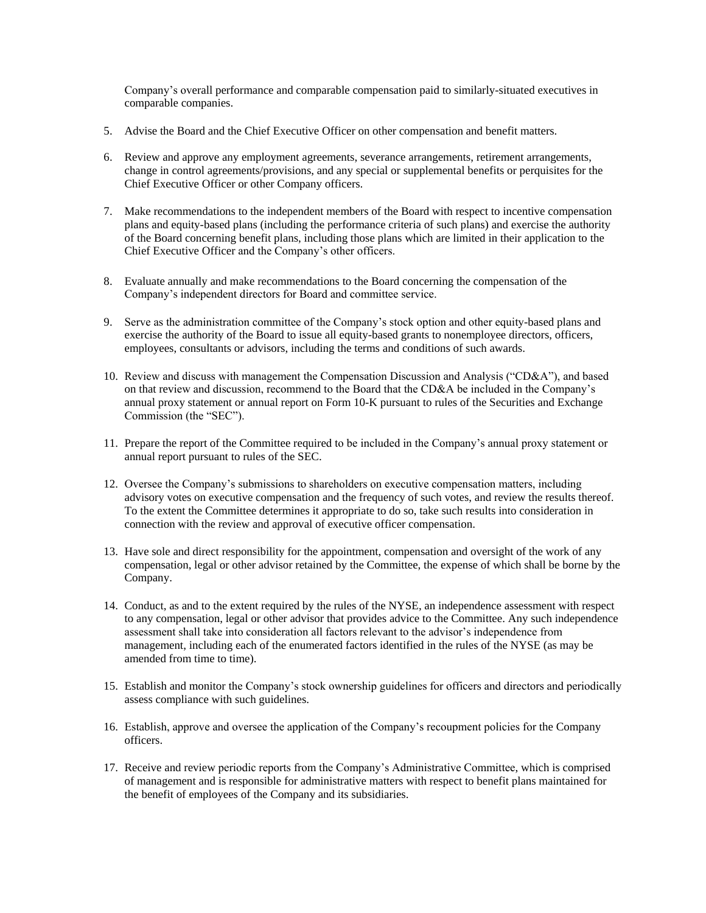Company's overall performance and comparable compensation paid to similarly-situated executives in comparable companies.

- 5. Advise the Board and the Chief Executive Officer on other compensation and benefit matters.
- 6. Review and approve any employment agreements, severance arrangements, retirement arrangements, change in control agreements/provisions, and any special or supplemental benefits or perquisites for the Chief Executive Officer or other Company officers.
- 7. Make recommendations to the independent members of the Board with respect to incentive compensation plans and equity-based plans (including the performance criteria of such plans) and exercise the authority of the Board concerning benefit plans, including those plans which are limited in their application to the Chief Executive Officer and the Company's other officers.
- 8. Evaluate annually and make recommendations to the Board concerning the compensation of the Company's independent directors for Board and committee service.
- 9. Serve as the administration committee of the Company's stock option and other equity-based plans and exercise the authority of the Board to issue all equity-based grants to nonemployee directors, officers, employees, consultants or advisors, including the terms and conditions of such awards.
- 10. Review and discuss with management the Compensation Discussion and Analysis ("CD&A"), and based on that review and discussion, recommend to the Board that the CD&A be included in the Company's annual proxy statement or annual report on Form 10-K pursuant to rules of the Securities and Exchange Commission (the "SEC").
- 11. Prepare the report of the Committee required to be included in the Company's annual proxy statement or annual report pursuant to rules of the SEC.
- 12. Oversee the Company's submissions to shareholders on executive compensation matters, including advisory votes on executive compensation and the frequency of such votes, and review the results thereof. To the extent the Committee determines it appropriate to do so, take such results into consideration in connection with the review and approval of executive officer compensation.
- 13. Have sole and direct responsibility for the appointment, compensation and oversight of the work of any compensation, legal or other advisor retained by the Committee, the expense of which shall be borne by the Company.
- 14. Conduct, as and to the extent required by the rules of the NYSE, an independence assessment with respect to any compensation, legal or other advisor that provides advice to the Committee. Any such independence assessment shall take into consideration all factors relevant to the advisor's independence from management, including each of the enumerated factors identified in the rules of the NYSE (as may be amended from time to time).
- 15. Establish and monitor the Company's stock ownership guidelines for officers and directors and periodically assess compliance with such guidelines.
- 16. Establish, approve and oversee the application of the Company's recoupment policies for the Company officers.
- 17. Receive and review periodic reports from the Company's Administrative Committee, which is comprised of management and is responsible for administrative matters with respect to benefit plans maintained for the benefit of employees of the Company and its subsidiaries.